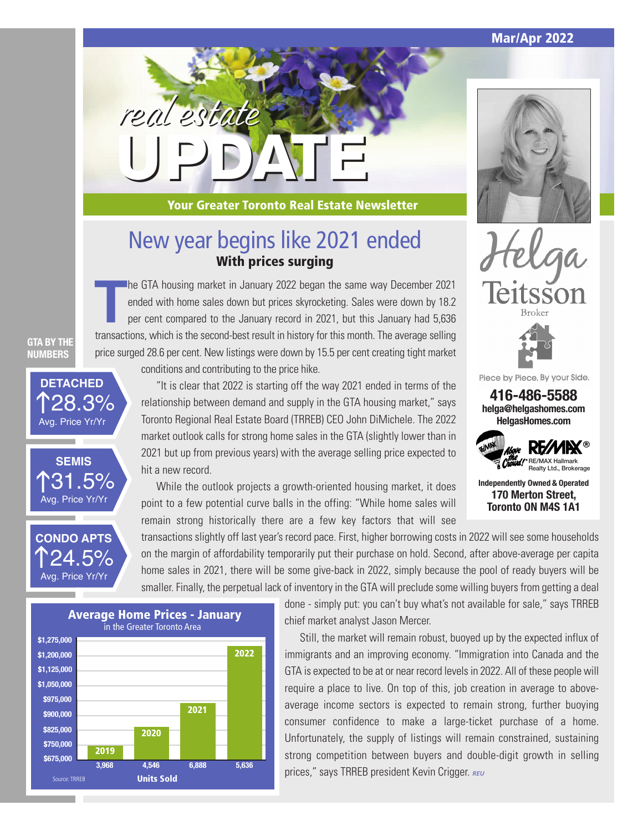**Mar/Apr 2022**



**Your Greater Toronto Real Estate Newsletter**

### New year begins like 2021 ended **With prices surging**

The GTA housing market in January 2022 began the same way December 2021<br>
ended with home sales down but prices skyrocketing. Sales were down by 18.2<br>
per cent compared to the January record in 2021, but this January had 5, he GTA housing market in January 2022 began the same way December 2021 ended with home sales down but prices skyrocketing. Sales were down by 18.2 per cent compared to the January record in 2021, but this January had 5,636 price surged 28.6 per cent. New listings were down by 15.5 per cent creating tight market

**GTA BY THE NUMBERS**

**131.5%**<br>Avg. Price Yr/Yr

24.5%

Avg. Price Yr/Yr

**CONDO APTS**

**SEMIS**

**128.3%**<br>Avg. Price Yr/Yr

**DETACHED**

conditions and contributing to the price hike.

**UPDATE**

real estate

"It is clear that 2022 is starting off the way 2021 ended in terms of the relationship between demand and supply in the GTA housing market," says Toronto Regional Real Estate Board (TRREB) CEO John DiMichele. The 2022 market outlook calls for strong home sales in the GTA (slightly lower than in 2021 but up from previous years) with the average selling price expected to hit a new record.

While the outlook projects a growth-oriented housing market, it does point to a few potential curve balls in the offing: "While home sales will remain strong historically there are a few key factors that will see

transactions slightly off last year's record pace. First, higher borrowing costs in 2022 will see some households on the margin of affordability temporarily put their purchase on hold. Second, after above-average per capita home sales in 2021, there will be some give-back in 2022, simply because the pool of ready buyers will be smaller. Finally, the perpetual lack of inventory in the GTA will preclude some willing buyers from getting a deal



done - simply put: you can't buy what's not available for sale," says TRREB chief market analyst Jason Mercer.

Still, the market will remain robust, buoyed up by the expected influx of immigrants and an improving economy. "Immigration into Canada and the GTA is expected to be at or near record levels in 2022. All of these people will require a place to live. On top of this, job creation in average to aboveaverage income sectors is expected to remain strong, further buoying consumer confidence to make a large-ticket purchase of a home. Unfortunately, the supply of listings will remain constrained, sustaining strong competition between buyers and double-digit growth in selling prices," says TRREB president Kevin Crigger. *REU*





Piece by Piece. By your Side.

**416-486-5588 helga@helgashomes.com HelgasHomes.com**



**Independently Owned & Operated 170 Merton Street, Toronto ON M4S 1A1**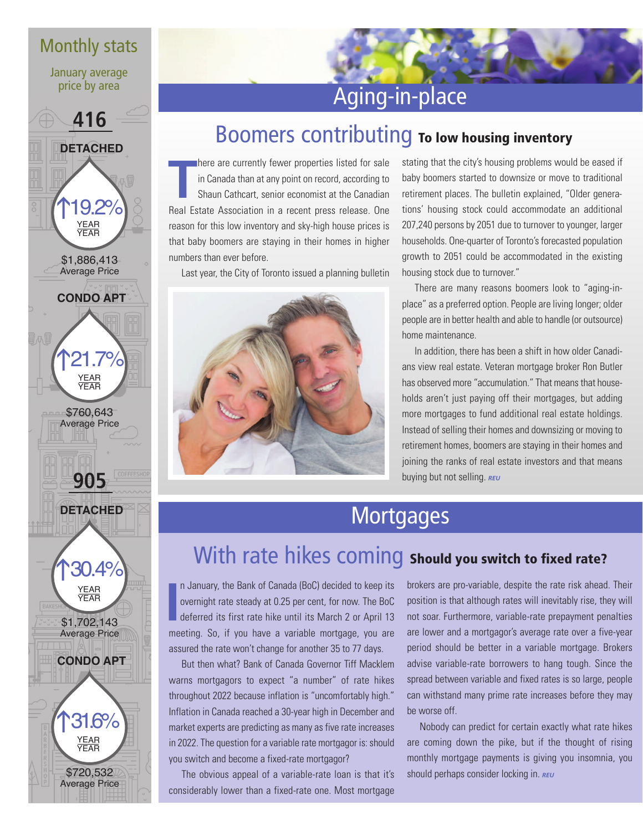### Monthly stats

January average price by area



# Aging-in-place

# Boomers contributing **To low housing inventory**

**T** here are currently fewer properties listed for sale in Canada than at any point on record, according to Shaun Cathcart, senior economist at the Canadian Real Estate Association in a recent press release. One reason for this low inventory and sky-high house prices is that baby boomers are staying in their homes in higher numbers than ever before.

Last year, the City of Toronto issued a planning bulletin



stating that the city's housing problems would be eased if baby boomers started to downsize or move to traditional retirement places. The bulletin explained, "Older generations' housing stock could accommodate an additional 207,240 persons by 2051 due to turnover to younger, larger households. One-quarter of Toronto's forecasted population growth to 2051 could be accommodated in the existing housing stock due to turnover."

There are many reasons boomers look to "aging-inplace" as a preferred option. People are living longer; older people are in better health and able to handle (or outsource) home maintenance.

In addition, there has been a shift in how older Canadians view real estate. Veteran mortgage broker Ron Butler has observed more "accumulation." That means that households aren't just paying off their mortgages, but adding more mortgages to fund additional real estate holdings. Instead of selling their homes and downsizing or moving to retirement homes, boomers are staying in their homes and joining the ranks of real estate investors and that means buying but not selling. **REU** 

# **Mortgages**

## With rate hikes coming **Should you switch to fixed rate?**

**I** n January, the Bank of Canada (BoC) decided to keep its overnight rate steady at 0.25 per cent, for now. The BoC deferred its first rate hike until its March 2 or April 13 meeting. So, if you have a variable mortgage, you are assured the rate won't change for another 35 to 77 days.

But then what? Bank of Canada Governor Tiff Macklem warns mortgagors to expect "a number" of rate hikes throughout 2022 because inflation is "uncomfortably high." Inflation in Canada reached a 30-year high in December and market experts are predicting as many as five rate increases in 2022. The question for a variable rate mortgagor is: should you switch and become a fixed-rate mortgagor?

The obvious appeal of a variable-rate loan is that it's considerably lower than a fixed-rate one. Most mortgage

brokers are pro-variable, despite the rate risk ahead. Their position is that although rates will inevitably rise, they will not soar. Furthermore, variable-rate prepayment penalties are lower and a mortgagor's average rate over a five-year period should be better in a variable mortgage. Brokers advise variable-rate borrowers to hang tough. Since the spread between variable and fixed rates is so large, people can withstand many prime rate increases before they may be worse off.

Nobody can predict for certain exactly what rate hikes are coming down the pike, but if the thought of rising monthly mortgage payments is giving you insomnia, you should perhaps consider locking in. **REU**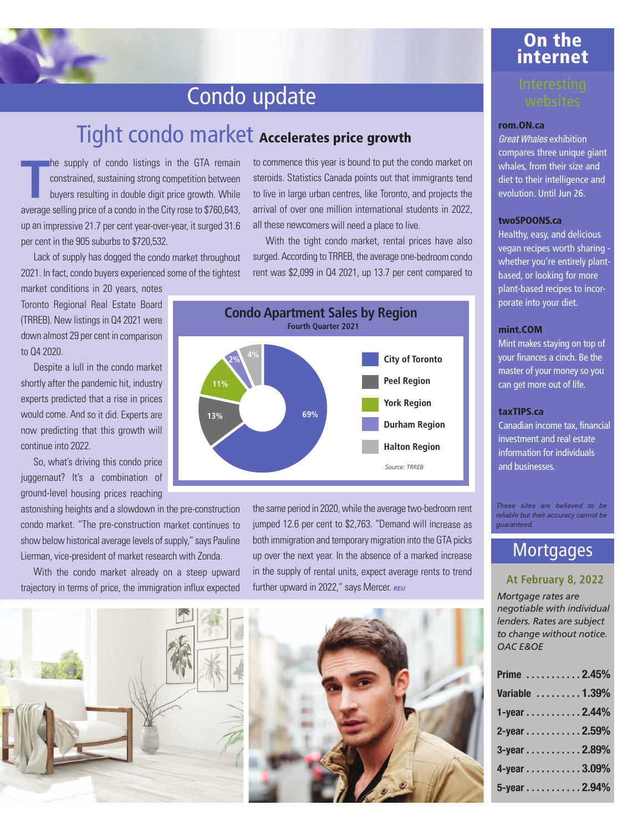# Condo update

### Tight condo market **Accelerates price growth**

**T** he supply of condo listings in the GTA remain constrained, sustaining strong competition between buyers resulting in double digit price growth. While average selling price of a condo in the City rose to \$760,643, up an impressive 21.7 per cent year-over-year, it surged 31.6 per cent in the 905 suburbs to \$720,532.

Lack of supply has dogged the condo market throughout 2021. In fact, condo buyers experienced some of the tightest

market conditions in 20 years, notes Toronto Regional Real Estate Board (TRREB). New listings in Q4 2021 were down almost 29 per cent in comparison to Q4 2020.

Despite a lull in the condo market shortly after the pandemic hit, industry experts predicted that a rise in prices would come. And so it did. Experts are now predicting that this growth will continue into 2022.

So, what's driving this condo price juggernaut? It's a combination of ground-level housing prices reaching

astonishing heights and a slowdown in the pre-construction condo market. "The pre-construction market continues to show below historical average levels of supply," says Pauline Lierman, vice-president of market research with Zonda.

With the condo market already on a steep upward trajectory in terms of price, the immigration influx expected to commence this year is bound to put the condo market on steroids. Statistics Canada points out that immigrants tend to live in large urban centres, like Toronto, and projects the arrival of over one million international students in 2022, all these newcomers will need a place to live.

With the tight condo market, rental prices have also surged. According to TRREB, the average one-bedroom condo rent was \$2,099 in Q4 2021, up 13.7 per cent compared to



the same period in 2020, while the average two-bedroom rent jumped 12.6 per cent to \$2,763. "Demand will increase as both immigration and temporary migration into the GTA picks up over the next year. In the absence of a marked increase in the supply of rental units, expect average rents to trend further upward in 2022," says Mercer. REU





### **On the internet**

#### **rom.ON.ca**

Great Whales exhibition compares three unique giant whales, from their size and diet to their intelligence and evolution. Until Jun 26.

#### **twoSPOONS.ca**

Healthy, easy, and delicious vegan recipes worth sharing whether you're entirely plantbased, or looking for more plant-based recipes to incorporate into your diet.

#### **mint.COM**

Mint makes staying on top of your finances a cinch. Be the master of your money so you can get more out of life.

#### **taxTIPS.ca**

Canadian income tax, financial investment and real estate information for individuals and businesses.

*These sites are believed to be reliable but their accuracy cannot be guaranteed.* 

### **Mortgages**

#### **At February 8, 2022**

*Mortgage rates are negotiable with individual lenders. Rates are subject to change without notice. OAC E&OE*

| Prime 2.45%     |  |  |  |
|-----------------|--|--|--|
| Variable  1.39% |  |  |  |
| 1-year 2.44%    |  |  |  |
| 2-year 2.59%    |  |  |  |
| 3-year 2.89%    |  |  |  |
| 4-year 3.09%    |  |  |  |
| 5-year 2.94%    |  |  |  |